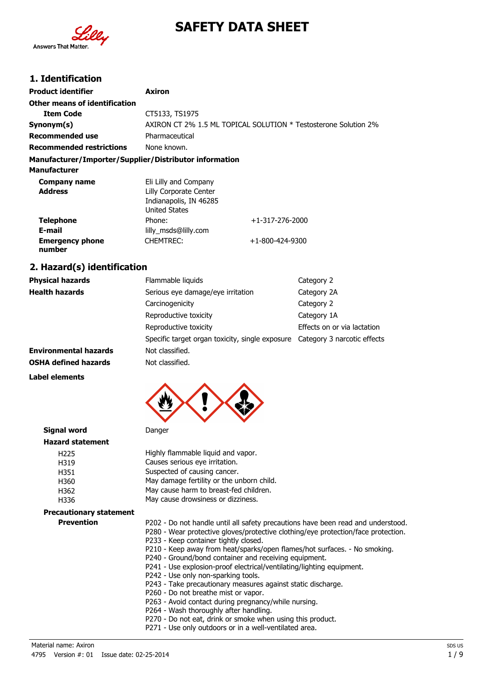

# **SAFETY DATA SHEET**

### **1. Identification**

| <b>Product identifier</b>                              | Axiron                                                                                            |                                                                 |  |
|--------------------------------------------------------|---------------------------------------------------------------------------------------------------|-----------------------------------------------------------------|--|
| Other means of identification                          |                                                                                                   |                                                                 |  |
| <b>Item Code</b>                                       | CT5133, TS1975                                                                                    |                                                                 |  |
| Synonym(s)                                             |                                                                                                   | AXIRON CT 2% 1.5 ML TOPICAL SOLUTION * Testosterone Solution 2% |  |
| Recommended use                                        | Pharmaceutical                                                                                    |                                                                 |  |
| <b>Recommended restrictions</b>                        | None known.                                                                                       |                                                                 |  |
| Manufacturer/Importer/Supplier/Distributor information |                                                                                                   |                                                                 |  |
| <b>Manufacturer</b>                                    |                                                                                                   |                                                                 |  |
| Company name<br><b>Address</b>                         | Eli Lilly and Company<br>Lilly Corporate Center<br>Indianapolis, IN 46285<br><b>United States</b> |                                                                 |  |
| <b>Telephone</b><br>E-mail                             | Phone:<br>lilly msds@lilly.com                                                                    | $+1-317-276-2000$                                               |  |
| <b>Emergency phone</b><br>number                       | <b>CHEMTREC:</b>                                                                                  | +1-800-424-9300                                                 |  |

## **2. Hazard(s) identification**

| <b>Physical hazards</b>      | Flammable liquids                                                           | Category 2                  |
|------------------------------|-----------------------------------------------------------------------------|-----------------------------|
| <b>Health hazards</b>        | Serious eye damage/eye irritation                                           | Category 2A                 |
|                              | Carcinogenicity                                                             | Category 2                  |
|                              | Reproductive toxicity                                                       | Category 1A                 |
|                              | Reproductive toxicity                                                       | Effects on or via lactation |
|                              | Specific target organ toxicity, single exposure Category 3 narcotic effects |                             |
| <b>Environmental hazards</b> | Not classified.                                                             |                             |
| <b>OSHA defined hazards</b>  | Not classified.                                                             |                             |

#### **Label elements**



| <b>Signal word</b>             | Danger                                                                                                                                                                                                                                                                                                                                                                                                                                                                                                                                                                       |
|--------------------------------|------------------------------------------------------------------------------------------------------------------------------------------------------------------------------------------------------------------------------------------------------------------------------------------------------------------------------------------------------------------------------------------------------------------------------------------------------------------------------------------------------------------------------------------------------------------------------|
| <b>Hazard statement</b>        |                                                                                                                                                                                                                                                                                                                                                                                                                                                                                                                                                                              |
| H <sub>225</sub>               | Highly flammable liquid and vapor.                                                                                                                                                                                                                                                                                                                                                                                                                                                                                                                                           |
| H319                           | Causes serious eye irritation.                                                                                                                                                                                                                                                                                                                                                                                                                                                                                                                                               |
| H351                           | Suspected of causing cancer.                                                                                                                                                                                                                                                                                                                                                                                                                                                                                                                                                 |
| H360                           | May damage fertility or the unborn child.                                                                                                                                                                                                                                                                                                                                                                                                                                                                                                                                    |
| H362                           | May cause harm to breast-fed children.                                                                                                                                                                                                                                                                                                                                                                                                                                                                                                                                       |
| H336                           | May cause drowsiness or dizziness.                                                                                                                                                                                                                                                                                                                                                                                                                                                                                                                                           |
| <b>Precautionary statement</b> |                                                                                                                                                                                                                                                                                                                                                                                                                                                                                                                                                                              |
| <b>Prevention</b>              | P202 - Do not handle until all safety precautions have been read and understood.<br>P280 - Wear protective gloves/protective clothing/eye protection/face protection.<br>P233 - Keep container tightly closed.<br>P210 - Keep away from heat/sparks/open flames/hot surfaces. - No smoking.<br>P240 - Ground/bond container and receiving equipment.<br>P241 - Use explosion-proof electrical/ventilating/lighting equipment.<br>P242 - Use only non-sparking tools.<br>P243 - Take precautionary measures against static discharge.<br>P260 - Do not breathe mist or vapor. |

- P263 Avoid contact during pregnancy/while nursing.
- P264 Wash thoroughly after handling.
- P270 Do not eat, drink or smoke when using this product.
- P271 Use only outdoors or in a well-ventilated area.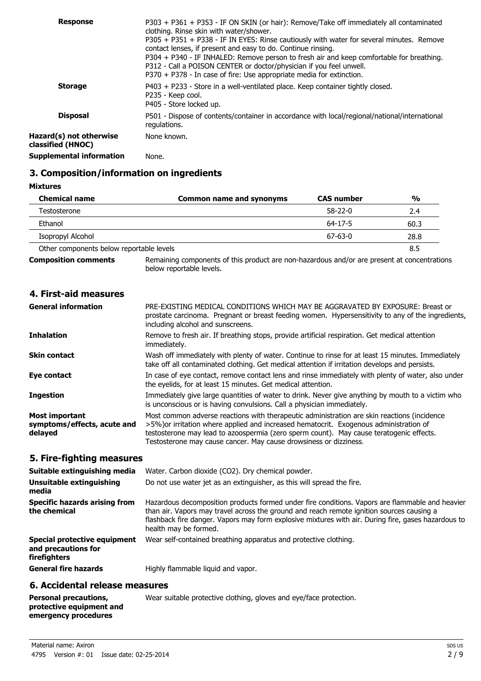| <b>Response</b>                              | P303 + P361 + P353 - IF ON SKIN (or hair): Remove/Take off immediately all contaminated<br>clothing. Rinse skin with water/shower.<br>P305 + P351 + P338 - IF IN EYES: Rinse cautiously with water for several minutes. Remove<br>contact lenses, if present and easy to do. Continue rinsing.<br>P304 + P340 - IF INHALED: Remove person to fresh air and keep comfortable for breathing.<br>P312 - Call a POISON CENTER or doctor/physician if you feel unwell.<br>$P370 + P378 - In case of fire: Use appropriate media for extinction.$ |
|----------------------------------------------|---------------------------------------------------------------------------------------------------------------------------------------------------------------------------------------------------------------------------------------------------------------------------------------------------------------------------------------------------------------------------------------------------------------------------------------------------------------------------------------------------------------------------------------------|
| <b>Storage</b>                               | P403 + P233 - Store in a well-ventilated place. Keep container tightly closed.<br>P235 - Keep cool.<br>P405 - Store locked up.                                                                                                                                                                                                                                                                                                                                                                                                              |
| <b>Disposal</b>                              | P501 - Dispose of contents/container in accordance with local/regional/national/international<br>regulations.                                                                                                                                                                                                                                                                                                                                                                                                                               |
| Hazard(s) not otherwise<br>classified (HNOC) | None known.                                                                                                                                                                                                                                                                                                                                                                                                                                                                                                                                 |
| <b>Supplemental information</b>              | None.                                                                                                                                                                                                                                                                                                                                                                                                                                                                                                                                       |

### **3. Composition/information on ingredients**

**Mixtures**

| <b>Chemical name</b>                     | <b>Common name and synonyms</b>                                                             | <b>CAS number</b> | $\frac{0}{0}$ |
|------------------------------------------|---------------------------------------------------------------------------------------------|-------------------|---------------|
| Testosterone                             |                                                                                             | $58-22-0$         | 2.4           |
| Ethanol                                  |                                                                                             | $64 - 17 - 5$     | 60.3          |
| Isopropyl Alcohol                        |                                                                                             | $67 - 63 - 0$     | 28.8          |
| Other components below reportable levels |                                                                                             |                   | 8.5           |
| <b>Composition comments</b>              | Remaining components of this product are non-hazardous and/or are present at concentrations |                   |               |

below reportable levels.

#### **4. First-aid measures**

| <b>General information</b>                                      | PRE-EXISTING MEDICAL CONDITIONS WHICH MAY BE AGGRAVATED BY EXPOSURE: Breast or<br>prostate carcinoma. Pregnant or breast feeding women. Hypersensitivity to any of the ingredients,<br>including alcohol and sunscreens.                                                                                                                              |
|-----------------------------------------------------------------|-------------------------------------------------------------------------------------------------------------------------------------------------------------------------------------------------------------------------------------------------------------------------------------------------------------------------------------------------------|
| <b>Inhalation</b>                                               | Remove to fresh air. If breathing stops, provide artificial respiration. Get medical attention<br>immediately.                                                                                                                                                                                                                                        |
| Skin contact                                                    | Wash off immediately with plenty of water. Continue to rinse for at least 15 minutes. Immediately<br>take off all contaminated clothing. Get medical attention if irritation develops and persists.                                                                                                                                                   |
| Eye contact                                                     | In case of eye contact, remove contact lens and rinse immediately with plenty of water, also under<br>the eyelids, for at least 15 minutes. Get medical attention.                                                                                                                                                                                    |
| <b>Ingestion</b>                                                | Immediately give large quantities of water to drink. Never give anything by mouth to a victim who<br>is unconscious or is having convulsions. Call a physician immediately.                                                                                                                                                                           |
| <b>Most important</b><br>symptoms/effects, acute and<br>delayed | Most common adverse reactions with therapeutic administration are skin reactions (incidence<br>>5%) or irritation where applied and increased hematocrit. Exogenous administration of<br>testosterone may lead to azoospermia (zero sperm count). May cause teratogenic effects.<br>Testosterone may cause cancer. May cause drowsiness or dizziness. |

### **5. Fire-fighting measures**

| Suitable extinguishing media<br>Unsuitable extinguishing<br>media   | Water. Carbon dioxide (CO2). Dry chemical powder.<br>Do not use water jet as an extinguisher, as this will spread the fire.                                                                                                                                                                                                  |
|---------------------------------------------------------------------|------------------------------------------------------------------------------------------------------------------------------------------------------------------------------------------------------------------------------------------------------------------------------------------------------------------------------|
| Specific hazards arising from<br>the chemical                       | Hazardous decomposition products formed under fire conditions. Vapors are flammable and heavier<br>than air. Vapors may travel across the ground and reach remote ignition sources causing a<br>flashback fire danger. Vapors may form explosive mixtures with air. During fire, gases hazardous to<br>health may be formed. |
| Special protective equipment<br>and precautions for<br>firefighters | Wear self-contained breathing apparatus and protective clothing.                                                                                                                                                                                                                                                             |
| <b>General fire hazards</b>                                         | Highly flammable liguid and vapor.                                                                                                                                                                                                                                                                                           |
| 6 Accidental release measures                                       |                                                                                                                                                                                                                                                                                                                              |

#### **6. Accidental release measures**

#### **Personal precautions, protective equipment and emergency procedures**

Wear suitable protective clothing, gloves and eye/face protection.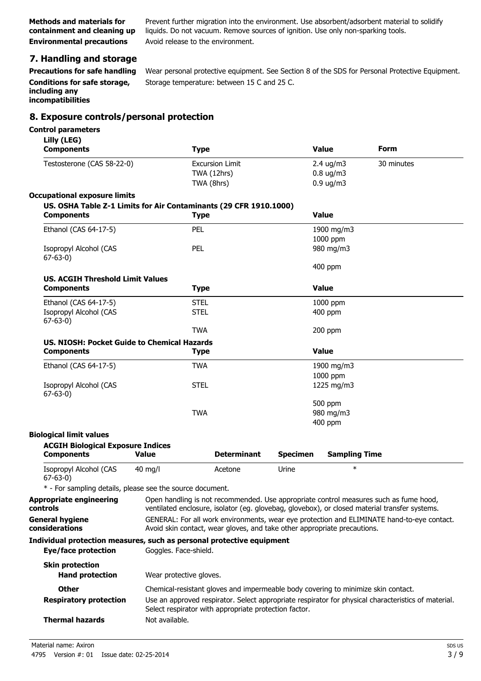Prevent further migration into the environment. Use absorbent/adsorbent material to solidify liquids. Do not vacuum. Remove sources of ignition. Use only non-sparking tools. **Environmental precautions** Avoid release to the environment.

# **7. Handling and storage**

**Conditions for safe storage, including any incompatibilities**

**Precautions for safe handling** Wear personal protective equipment. See Section 8 of the SDS for Personal Protective Equipment. Storage temperature: between 15 C and 25 C.

### **8. Exposure controls/personal protection**

#### **Control parameters**

| Lilly (LEG)<br><b>Components</b>                                                             | <b>Type</b>                                                                                                                                                                                                    |                                                     |                 | <b>Value</b>                                                        | <b>Form</b>                                                                                         |
|----------------------------------------------------------------------------------------------|----------------------------------------------------------------------------------------------------------------------------------------------------------------------------------------------------------------|-----------------------------------------------------|-----------------|---------------------------------------------------------------------|-----------------------------------------------------------------------------------------------------|
| Testosterone (CAS 58-22-0)                                                                   |                                                                                                                                                                                                                | <b>Excursion Limit</b><br>TWA (12hrs)<br>TWA (8hrs) |                 | $2.4 \text{ ug/m}3$<br>$0.8 \text{ ug/m}$ 3<br>$0.9 \text{ ug/m}$ 3 | 30 minutes                                                                                          |
| <b>Occupational exposure limits</b>                                                          |                                                                                                                                                                                                                |                                                     |                 |                                                                     |                                                                                                     |
| US. OSHA Table Z-1 Limits for Air Contaminants (29 CFR 1910.1000)<br><b>Components</b>       | <b>Type</b>                                                                                                                                                                                                    |                                                     |                 | <b>Value</b>                                                        |                                                                                                     |
| Ethanol (CAS 64-17-5)                                                                        | <b>PEL</b>                                                                                                                                                                                                     |                                                     |                 | 1900 mg/m3                                                          |                                                                                                     |
| Isopropyl Alcohol (CAS<br>$67 - 63 - 0$                                                      | PEL                                                                                                                                                                                                            |                                                     |                 | 1000 ppm<br>980 mg/m3                                               |                                                                                                     |
|                                                                                              |                                                                                                                                                                                                                |                                                     |                 | 400 ppm                                                             |                                                                                                     |
| <b>US. ACGIH Threshold Limit Values</b><br><b>Components</b>                                 | <b>Type</b>                                                                                                                                                                                                    |                                                     |                 | <b>Value</b>                                                        |                                                                                                     |
| Ethanol (CAS 64-17-5)                                                                        | <b>STEL</b>                                                                                                                                                                                                    |                                                     |                 | 1000 ppm                                                            |                                                                                                     |
| Isopropyl Alcohol (CAS<br>$67 - 63 - 0$                                                      | <b>STEL</b>                                                                                                                                                                                                    |                                                     |                 | 400 ppm                                                             |                                                                                                     |
|                                                                                              | <b>TWA</b>                                                                                                                                                                                                     |                                                     |                 | 200 ppm                                                             |                                                                                                     |
| US. NIOSH: Pocket Guide to Chemical Hazards                                                  |                                                                                                                                                                                                                |                                                     |                 |                                                                     |                                                                                                     |
| <b>Components</b>                                                                            | <b>Type</b>                                                                                                                                                                                                    |                                                     |                 | Value                                                               |                                                                                                     |
| Ethanol (CAS 64-17-5)                                                                        | <b>TWA</b>                                                                                                                                                                                                     |                                                     |                 | 1900 mg/m3                                                          |                                                                                                     |
| Isopropyl Alcohol (CAS<br>$67-63-0)$                                                         | <b>STEL</b>                                                                                                                                                                                                    |                                                     |                 | 1000 ppm<br>1225 mg/m3                                              |                                                                                                     |
|                                                                                              | <b>TWA</b>                                                                                                                                                                                                     |                                                     |                 | 500 ppm<br>980 mg/m3<br>400 ppm                                     |                                                                                                     |
| <b>Biological limit values</b>                                                               |                                                                                                                                                                                                                |                                                     |                 |                                                                     |                                                                                                     |
| <b>ACGIH Biological Exposure Indices</b>                                                     |                                                                                                                                                                                                                |                                                     |                 |                                                                     |                                                                                                     |
| <b>Components</b>                                                                            | <b>Value</b>                                                                                                                                                                                                   | <b>Determinant</b>                                  | <b>Specimen</b> | <b>Sampling Time</b>                                                |                                                                                                     |
| Isopropyl Alcohol (CAS<br>$67 - 63 - 0$                                                      | $40 \text{ mg/l}$                                                                                                                                                                                              | Acetone                                             | Urine           | $\ast$                                                              |                                                                                                     |
| * - For sampling details, please see the source document.                                    |                                                                                                                                                                                                                |                                                     |                 |                                                                     |                                                                                                     |
| controls                                                                                     | Appropriate engineering Open handling is not recommended. Use appropriate control measures such as fume hood,<br>ventilated enclosure, isolator (eq. qlovebag, qlovebox), or closed material transfer systems. |                                                     |                 |                                                                     |                                                                                                     |
| <b>General hygiene</b><br>considerations                                                     | Avoid skin contact, wear gloves, and take other appropriate precautions.                                                                                                                                       |                                                     |                 |                                                                     | GENERAL: For all work environments, wear eye protection and ELIMINATE hand-to-eye contact.          |
| Individual protection measures, such as personal protective equipment<br>Eye/face protection | Goggles. Face-shield.                                                                                                                                                                                          |                                                     |                 |                                                                     |                                                                                                     |
| <b>Skin protection</b><br><b>Hand protection</b>                                             | Wear protective gloves.                                                                                                                                                                                        |                                                     |                 |                                                                     |                                                                                                     |
| Other                                                                                        | Chemical-resistant gloves and impermeable body covering to minimize skin contact.                                                                                                                              |                                                     |                 |                                                                     |                                                                                                     |
| <b>Respiratory protection</b>                                                                | Select respirator with appropriate protection factor.                                                                                                                                                          |                                                     |                 |                                                                     | Use an approved respirator. Select appropriate respirator for physical characteristics of material. |
| <b>Thermal hazards</b>                                                                       | Not available.                                                                                                                                                                                                 |                                                     |                 |                                                                     |                                                                                                     |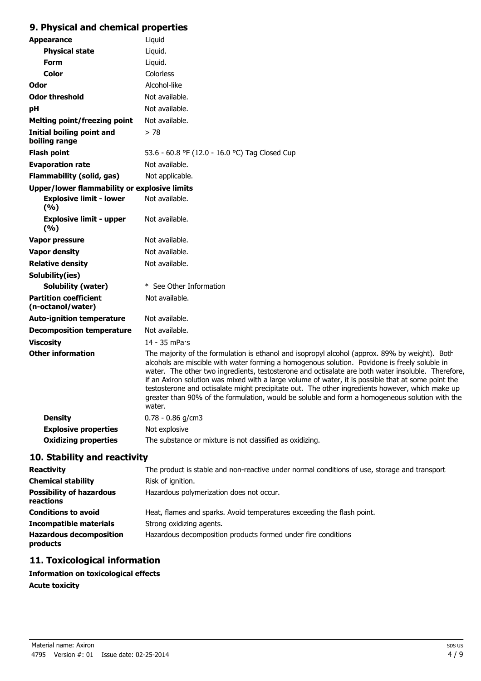### **9. Physical and chemical properties**

| <b>Appearance</b>                                 | Liquid                                                                                                                                                                                                                                                                                                                                                                                                                                                                                                                                                                                                                      |
|---------------------------------------------------|-----------------------------------------------------------------------------------------------------------------------------------------------------------------------------------------------------------------------------------------------------------------------------------------------------------------------------------------------------------------------------------------------------------------------------------------------------------------------------------------------------------------------------------------------------------------------------------------------------------------------------|
| <b>Physical state</b>                             | Liquid.                                                                                                                                                                                                                                                                                                                                                                                                                                                                                                                                                                                                                     |
| <b>Form</b>                                       | Liquid.                                                                                                                                                                                                                                                                                                                                                                                                                                                                                                                                                                                                                     |
| <b>Color</b>                                      | Colorless                                                                                                                                                                                                                                                                                                                                                                                                                                                                                                                                                                                                                   |
| Odor                                              | Alcohol-like                                                                                                                                                                                                                                                                                                                                                                                                                                                                                                                                                                                                                |
| <b>Odor threshold</b>                             | Not available.                                                                                                                                                                                                                                                                                                                                                                                                                                                                                                                                                                                                              |
| pH                                                | Not available.                                                                                                                                                                                                                                                                                                                                                                                                                                                                                                                                                                                                              |
| <b>Melting point/freezing point</b>               | Not available.                                                                                                                                                                                                                                                                                                                                                                                                                                                                                                                                                                                                              |
| Initial boiling point and<br>boiling range        | > 78                                                                                                                                                                                                                                                                                                                                                                                                                                                                                                                                                                                                                        |
| <b>Flash point</b>                                | 53.6 - 60.8 °F (12.0 - 16.0 °C) Tag Closed Cup                                                                                                                                                                                                                                                                                                                                                                                                                                                                                                                                                                              |
| <b>Evaporation rate</b>                           | Not available.                                                                                                                                                                                                                                                                                                                                                                                                                                                                                                                                                                                                              |
| <b>Flammability (solid, gas)</b>                  | Not applicable.                                                                                                                                                                                                                                                                                                                                                                                                                                                                                                                                                                                                             |
| Upper/lower flammability or explosive limits      |                                                                                                                                                                                                                                                                                                                                                                                                                                                                                                                                                                                                                             |
| <b>Explosive limit - lower</b><br>(9/6)           | Not available.                                                                                                                                                                                                                                                                                                                                                                                                                                                                                                                                                                                                              |
| <b>Explosive limit - upper</b><br>(%)             | Not available.                                                                                                                                                                                                                                                                                                                                                                                                                                                                                                                                                                                                              |
| Vapor pressure                                    | Not available.                                                                                                                                                                                                                                                                                                                                                                                                                                                                                                                                                                                                              |
| <b>Vapor density</b>                              | Not available.                                                                                                                                                                                                                                                                                                                                                                                                                                                                                                                                                                                                              |
| <b>Relative density</b>                           | Not available.                                                                                                                                                                                                                                                                                                                                                                                                                                                                                                                                                                                                              |
| Solubility(ies)                                   |                                                                                                                                                                                                                                                                                                                                                                                                                                                                                                                                                                                                                             |
| Solubility (water)                                | * See Other Information                                                                                                                                                                                                                                                                                                                                                                                                                                                                                                                                                                                                     |
| <b>Partition coefficient</b><br>(n-octanol/water) | Not available.                                                                                                                                                                                                                                                                                                                                                                                                                                                                                                                                                                                                              |
| <b>Auto-ignition temperature</b>                  | Not available.                                                                                                                                                                                                                                                                                                                                                                                                                                                                                                                                                                                                              |
| <b>Decomposition temperature</b>                  | Not available.                                                                                                                                                                                                                                                                                                                                                                                                                                                                                                                                                                                                              |
| <b>Viscosity</b>                                  | 14 - 35 mPa·s                                                                                                                                                                                                                                                                                                                                                                                                                                                                                                                                                                                                               |
| <b>Other information</b>                          | The majority of the formulation is ethanol and isopropyl alcohol (approx. 89% by weight). Both<br>alcohols are miscible with water forming a homogenous solution. Povidone is freely soluble in<br>water. The other two ingredients, testosterone and octisalate are both water insoluble. Therefore,<br>if an Axiron solution was mixed with a large volume of water, it is possible that at some point the<br>testosterone and octisalate might precipitate out. The other ingredients however, which make up<br>greater than 90% of the formulation, would be soluble and form a homogeneous solution with the<br>water. |
| <b>Density</b>                                    | $0.78 - 0.86$ g/cm3                                                                                                                                                                                                                                                                                                                                                                                                                                                                                                                                                                                                         |
| <b>Explosive properties</b>                       | Not explosive                                                                                                                                                                                                                                                                                                                                                                                                                                                                                                                                                                                                               |
| <b>Oxidizing properties</b>                       | The substance or mixture is not classified as oxidizing.                                                                                                                                                                                                                                                                                                                                                                                                                                                                                                                                                                    |

# **10. Stability and reactivity**

| <b>Reactivity</b>                            | The product is stable and non-reactive under normal conditions of use, storage and transport. |
|----------------------------------------------|-----------------------------------------------------------------------------------------------|
| <b>Chemical stability</b>                    | Risk of ignition.                                                                             |
| <b>Possibility of hazardous</b><br>reactions | Hazardous polymerization does not occur.                                                      |
| <b>Conditions to avoid</b>                   | Heat, flames and sparks. Avoid temperatures exceeding the flash point.                        |
| <b>Incompatible materials</b>                | Strong oxidizing agents.                                                                      |
| <b>Hazardous decomposition</b><br>products   | Hazardous decomposition products formed under fire conditions                                 |

# **11. Toxicological information**

```
Information on toxicological effects
Acute toxicity
```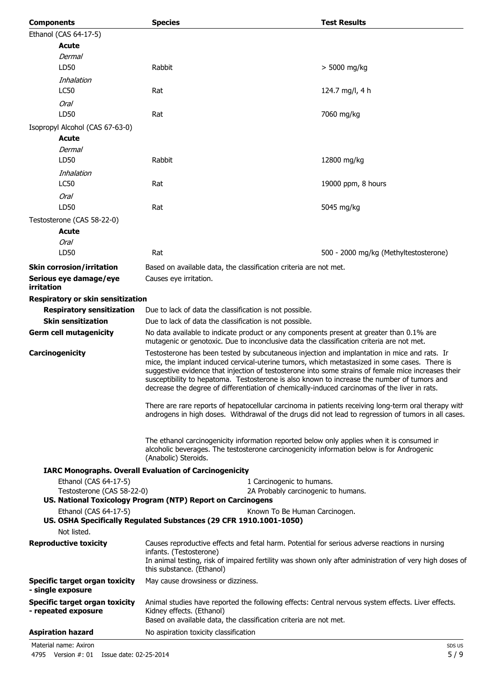| <b>Components</b>                                            | <b>Species</b>                                                                                                                                                                                                                                                                                                                                                                                                                                                                                       | <b>Test Results</b>                   |  |
|--------------------------------------------------------------|------------------------------------------------------------------------------------------------------------------------------------------------------------------------------------------------------------------------------------------------------------------------------------------------------------------------------------------------------------------------------------------------------------------------------------------------------------------------------------------------------|---------------------------------------|--|
| Ethanol (CAS 64-17-5)                                        |                                                                                                                                                                                                                                                                                                                                                                                                                                                                                                      |                                       |  |
| Acute                                                        |                                                                                                                                                                                                                                                                                                                                                                                                                                                                                                      |                                       |  |
| Dermal                                                       |                                                                                                                                                                                                                                                                                                                                                                                                                                                                                                      |                                       |  |
| LD50<br>Inhalation                                           | Rabbit                                                                                                                                                                                                                                                                                                                                                                                                                                                                                               | $> 5000$ mg/kg                        |  |
| <b>LC50</b>                                                  | Rat                                                                                                                                                                                                                                                                                                                                                                                                                                                                                                  | 124.7 mg/l, 4 h                       |  |
| <b>Oral</b><br>LD50                                          | Rat                                                                                                                                                                                                                                                                                                                                                                                                                                                                                                  | 7060 mg/kg                            |  |
| Isopropyl Alcohol (CAS 67-63-0)                              |                                                                                                                                                                                                                                                                                                                                                                                                                                                                                                      |                                       |  |
| Acute                                                        |                                                                                                                                                                                                                                                                                                                                                                                                                                                                                                      |                                       |  |
| Dermal                                                       |                                                                                                                                                                                                                                                                                                                                                                                                                                                                                                      |                                       |  |
| LD50                                                         | Rabbit                                                                                                                                                                                                                                                                                                                                                                                                                                                                                               | 12800 mg/kg                           |  |
| Inhalation                                                   |                                                                                                                                                                                                                                                                                                                                                                                                                                                                                                      |                                       |  |
| LC50                                                         | Rat                                                                                                                                                                                                                                                                                                                                                                                                                                                                                                  | 19000 ppm, 8 hours                    |  |
| Oral                                                         |                                                                                                                                                                                                                                                                                                                                                                                                                                                                                                      |                                       |  |
| LD50                                                         | Rat                                                                                                                                                                                                                                                                                                                                                                                                                                                                                                  | 5045 mg/kg                            |  |
| Testosterone (CAS 58-22-0)                                   |                                                                                                                                                                                                                                                                                                                                                                                                                                                                                                      |                                       |  |
| Acute                                                        |                                                                                                                                                                                                                                                                                                                                                                                                                                                                                                      |                                       |  |
| <b>Oral</b>                                                  |                                                                                                                                                                                                                                                                                                                                                                                                                                                                                                      |                                       |  |
| LD50                                                         | Rat                                                                                                                                                                                                                                                                                                                                                                                                                                                                                                  | 500 - 2000 mg/kg (Methyltestosterone) |  |
| <b>Skin corrosion/irritation</b>                             | Based on available data, the classification criteria are not met.                                                                                                                                                                                                                                                                                                                                                                                                                                    |                                       |  |
| Serious eye damage/eye<br>irritation                         | Causes eye irritation.                                                                                                                                                                                                                                                                                                                                                                                                                                                                               |                                       |  |
| Respiratory or skin sensitization                            |                                                                                                                                                                                                                                                                                                                                                                                                                                                                                                      |                                       |  |
| <b>Respiratory sensitization</b>                             | Due to lack of data the classification is not possible.                                                                                                                                                                                                                                                                                                                                                                                                                                              |                                       |  |
| <b>Skin sensitization</b>                                    | Due to lack of data the classification is not possible.                                                                                                                                                                                                                                                                                                                                                                                                                                              |                                       |  |
| <b>Germ cell mutagenicity</b>                                | No data available to indicate product or any components present at greater than 0.1% are<br>mutagenic or genotoxic. Due to inconclusive data the classification criteria are not met.                                                                                                                                                                                                                                                                                                                |                                       |  |
| Carcinogenicity                                              | Testosterone has been tested by subcutaneous injection and implantation in mice and rats. Ir<br>mice, the implant induced cervical-uterine tumors, which metastasized in some cases. There is<br>suggestive evidence that injection of testosterone into some strains of female mice increases their<br>susceptibility to hepatoma. Testosterone is also known to increase the number of tumors and<br>decrease the degree of differentiation of chemically-induced carcinomas of the liver in rats. |                                       |  |
|                                                              | There are rare reports of hepatocellular carcinoma in patients receiving long-term oral therapy with<br>androgens in high doses. Withdrawal of the drugs did not lead to regression of tumors in all cases.                                                                                                                                                                                                                                                                                          |                                       |  |
|                                                              | The ethanol carcinogenicity information reported below only applies when it is consumed in<br>alcoholic beverages. The testosterone carcinogenicity information below is for Androgenic<br>(Anabolic) Steroids.                                                                                                                                                                                                                                                                                      |                                       |  |
|                                                              | <b>IARC Monographs. Overall Evaluation of Carcinogenicity</b>                                                                                                                                                                                                                                                                                                                                                                                                                                        |                                       |  |
| Ethanol (CAS 64-17-5)                                        | 1 Carcinogenic to humans.                                                                                                                                                                                                                                                                                                                                                                                                                                                                            |                                       |  |
| Testosterone (CAS 58-22-0)                                   | 2A Probably carcinogenic to humans.<br>US. National Toxicology Program (NTP) Report on Carcinogens                                                                                                                                                                                                                                                                                                                                                                                                   |                                       |  |
| Ethanol (CAS 64-17-5)                                        | Known To Be Human Carcinogen.                                                                                                                                                                                                                                                                                                                                                                                                                                                                        |                                       |  |
|                                                              | US. OSHA Specifically Regulated Substances (29 CFR 1910.1001-1050)                                                                                                                                                                                                                                                                                                                                                                                                                                   |                                       |  |
| Not listed.                                                  |                                                                                                                                                                                                                                                                                                                                                                                                                                                                                                      |                                       |  |
| <b>Reproductive toxicity</b>                                 | Causes reproductive effects and fetal harm. Potential for serious adverse reactions in nursing<br>infants. (Testosterone)<br>In animal testing, risk of impaired fertility was shown only after administration of very high doses of<br>this substance. (Ethanol)                                                                                                                                                                                                                                    |                                       |  |
| <b>Specific target organ toxicity</b><br>- single exposure   | May cause drowsiness or dizziness.                                                                                                                                                                                                                                                                                                                                                                                                                                                                   |                                       |  |
| <b>Specific target organ toxicity</b><br>- repeated exposure | Animal studies have reported the following effects: Central nervous system effects. Liver effects.<br>Kidney effects. (Ethanol)<br>Based on available data, the classification criteria are not met.                                                                                                                                                                                                                                                                                                 |                                       |  |
| <b>Aspiration hazard</b>                                     | No aspiration toxicity classification                                                                                                                                                                                                                                                                                                                                                                                                                                                                |                                       |  |

Material name: Axiron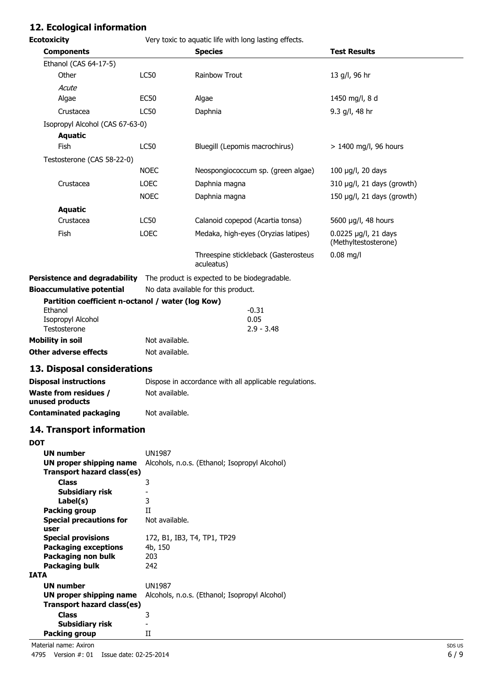# **12. Ecological information**

| <b>Ecotoxicity</b>                                                               |                             | Very toxic to aquatic life with long lasting effects.  |                                              |
|----------------------------------------------------------------------------------|-----------------------------|--------------------------------------------------------|----------------------------------------------|
| <b>Components</b>                                                                |                             | <b>Species</b>                                         | <b>Test Results</b>                          |
| Ethanol (CAS 64-17-5)                                                            |                             |                                                        |                                              |
| Other                                                                            | <b>LC50</b>                 | Rainbow Trout                                          | 13 g/l, 96 hr                                |
| Acute                                                                            |                             |                                                        |                                              |
| Algae                                                                            | <b>EC50</b>                 | Algae                                                  | 1450 mg/l, 8 d                               |
| Crustacea                                                                        | LC50                        | Daphnia                                                | 9.3 g/l, 48 hr                               |
| Isopropyl Alcohol (CAS 67-63-0)                                                  |                             |                                                        |                                              |
| <b>Aquatic</b>                                                                   |                             |                                                        |                                              |
| Fish                                                                             | LC50                        | Bluegill (Lepomis macrochirus)                         | > 1400 mg/l, 96 hours                        |
| Testosterone (CAS 58-22-0)                                                       |                             |                                                        |                                              |
|                                                                                  | <b>NOEC</b>                 | Neospongiococcum sp. (green algae)                     | 100 µg/l, 20 days                            |
| Crustacea                                                                        | <b>LOEC</b>                 | Daphnia magna                                          | 310 µg/l, 21 days (growth)                   |
|                                                                                  | <b>NOEC</b>                 | Daphnia magna                                          | 150 µg/l, 21 days (growth)                   |
| <b>Aquatic</b>                                                                   |                             |                                                        |                                              |
| Crustacea                                                                        | LC50                        | Calanoid copepod (Acartia tonsa)                       | 5600 µg/l, 48 hours                          |
| Fish                                                                             | <b>LOEC</b>                 | Medaka, high-eyes (Oryzias latipes)                    | 0.0225 µg/l, 21 days<br>(Methyltestosterone) |
|                                                                                  |                             | Threespine stickleback (Gasterosteus<br>aculeatus)     | $0.08$ mg/l                                  |
| <b>Persistence and degradability</b>                                             |                             | The product is expected to be biodegradable.           |                                              |
| <b>Bioaccumulative potential</b>                                                 |                             | No data available for this product.                    |                                              |
| Partition coefficient n-octanol / water (log Kow)                                |                             |                                                        |                                              |
| Ethanol                                                                          |                             | $-0.31$                                                |                                              |
| Isopropyl Alcohol                                                                |                             | 0.05                                                   |                                              |
| Testosterone                                                                     |                             | $2.9 - 3.48$                                           |                                              |
| <b>Mobility in soil</b>                                                          | Not available.              |                                                        |                                              |
| <b>Other adverse effects</b>                                                     | Not available.              |                                                        |                                              |
| 13. Disposal considerations                                                      |                             |                                                        |                                              |
| <b>Disposal instructions</b>                                                     |                             | Dispose in accordance with all applicable regulations. |                                              |
| <b>Waste from residues /</b><br>unused products                                  | Not available.              |                                                        |                                              |
| <b>Contaminated packaging</b>                                                    | Not available.              |                                                        |                                              |
| 14. Transport information                                                        |                             |                                                        |                                              |
| <b>DOT</b>                                                                       |                             |                                                        |                                              |
| <b>UN number</b><br>UN proper shipping name<br><b>Transport hazard class(es)</b> | <b>UN1987</b>               | Alcohols, n.o.s. (Ethanol; Isopropyl Alcohol)          |                                              |
| <b>Class</b>                                                                     | 3                           |                                                        |                                              |
| <b>Subsidiary risk</b>                                                           | $\overline{\phantom{a}}$    |                                                        |                                              |
| Label(s)                                                                         | 3                           |                                                        |                                              |
| <b>Packing group</b><br><b>Special precautions for</b><br>user                   | H<br>Not available.         |                                                        |                                              |
| <b>Special provisions</b>                                                        | 172, B1, IB3, T4, TP1, TP29 |                                                        |                                              |
| <b>Packaging exceptions</b>                                                      | 4b, 150                     |                                                        |                                              |
| Packaging non bulk                                                               | 203                         |                                                        |                                              |
| <b>Packaging bulk</b><br><b>IATA</b>                                             | 242                         |                                                        |                                              |
| <b>UN number</b>                                                                 | <b>UN1987</b>               |                                                        |                                              |

**Packing group** 

**Class** 3

**Subsidiary risk** -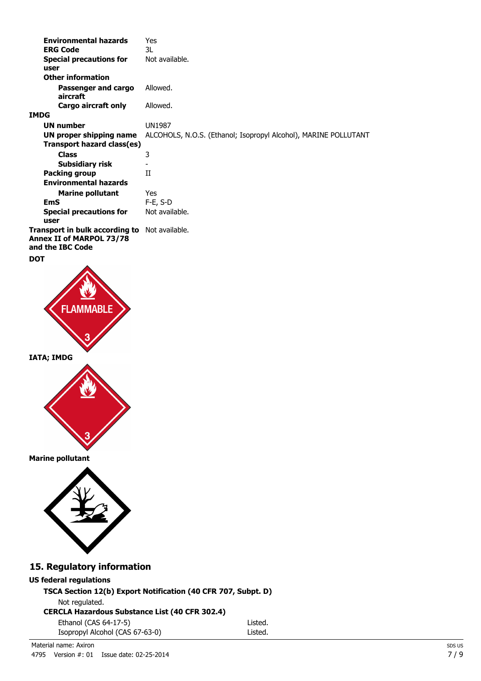| <b>Environmental hazards</b>                                                                  | Yes                                                             |
|-----------------------------------------------------------------------------------------------|-----------------------------------------------------------------|
| <b>ERG Code</b>                                                                               | 3L                                                              |
| <b>Special precautions for</b>                                                                | Not available.                                                  |
| user                                                                                          |                                                                 |
| <b>Other information</b>                                                                      |                                                                 |
| Passenger and cargo<br>aircraft                                                               | Allowed.                                                        |
| Cargo aircraft only                                                                           | Allowed.                                                        |
| IMDG                                                                                          |                                                                 |
| <b>UN number</b>                                                                              | UN1987                                                          |
| UN proper shipping name                                                                       | ALCOHOLS, N.O.S. (Ethanol; Isopropyl Alcohol), MARINE POLLUTANT |
| Transport hazard class(es)                                                                    |                                                                 |
| <b>Class</b>                                                                                  | 3                                                               |
| Subsidiary risk                                                                               |                                                                 |
| Packing group                                                                                 | H                                                               |
| <b>Environmental hazards</b>                                                                  |                                                                 |
| <b>Marine pollutant</b>                                                                       | Yes                                                             |
| <b>EmS</b>                                                                                    | $F-E$ , S-D                                                     |
| <b>Special precautions for</b><br>user                                                        | Not available.                                                  |
| Transport in bulk according to Not available.<br>Annex II of MARPOL 73/78<br>and the IBC Code |                                                                 |
| DOT                                                                                           |                                                                 |



**Marine pollutant**



# **15. Regulatory information**

## **US federal regulations**

**TSCA Section 12(b) Export Notification (40 CFR 707, Subpt. D)**

|  | Not regulated. |
|--|----------------|
|--|----------------|

**CERCLA Hazardous Substance List (40 CFR 302.4)**

| Ethanol (CAS 64-17-5)           | Listed. |
|---------------------------------|---------|
| Isopropyl Alcohol (CAS 67-63-0) | Listed. |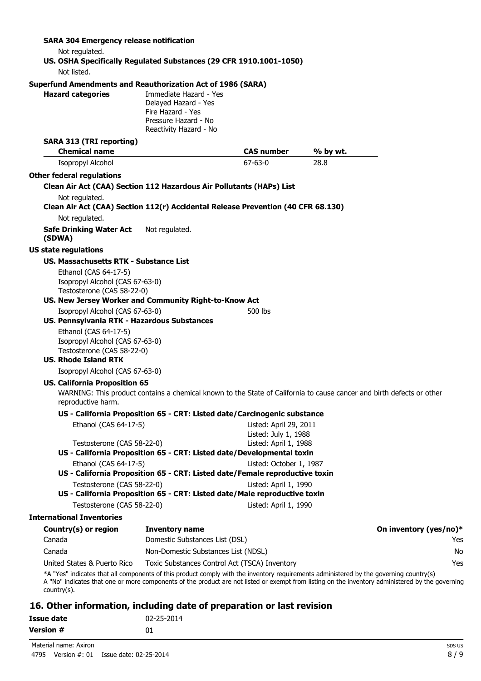#### **SARA 304 Emergency release notification**

Not regulated.

#### **US. OSHA Specifically Regulated Substances (29 CFR 1910.1001-1050)** Not listed.

#### **Superfund Amendments and Reauthorization Act of 1986 (SARA)**

**Hazard categories** Immediate Hazard - Yes Delayed Hazard - Yes Fire Hazard - Yes Pressure Hazard - No Reactivity Hazard - No

### **SARA 313 (TRI reporting)**

| <b>Chemical name</b>                          |                                                                                  | <b>CAS number</b>       | % by wt.                                                                                                                               |                        |
|-----------------------------------------------|----------------------------------------------------------------------------------|-------------------------|----------------------------------------------------------------------------------------------------------------------------------------|------------------------|
| Isopropyl Alcohol                             |                                                                                  | $67 - 63 - 0$           | 28.8                                                                                                                                   |                        |
| <b>Other federal regulations</b>              |                                                                                  |                         |                                                                                                                                        |                        |
|                                               | Clean Air Act (CAA) Section 112 Hazardous Air Pollutants (HAPs) List             |                         |                                                                                                                                        |                        |
| Not regulated.                                |                                                                                  |                         |                                                                                                                                        |                        |
|                                               | Clean Air Act (CAA) Section 112(r) Accidental Release Prevention (40 CFR 68.130) |                         |                                                                                                                                        |                        |
| Not regulated.                                |                                                                                  |                         |                                                                                                                                        |                        |
| <b>Safe Drinking Water Act</b><br>(SDWA)      | Not regulated.                                                                   |                         |                                                                                                                                        |                        |
| <b>US state regulations</b>                   |                                                                                  |                         |                                                                                                                                        |                        |
| <b>US. Massachusetts RTK - Substance List</b> |                                                                                  |                         |                                                                                                                                        |                        |
| Ethanol (CAS 64-17-5)                         |                                                                                  |                         |                                                                                                                                        |                        |
| Isopropyl Alcohol (CAS 67-63-0)               |                                                                                  |                         |                                                                                                                                        |                        |
| Testosterone (CAS 58-22-0)                    | US. New Jersey Worker and Community Right-to-Know Act                            |                         |                                                                                                                                        |                        |
| Isopropyl Alcohol (CAS 67-63-0)               |                                                                                  | 500 lbs                 |                                                                                                                                        |                        |
| US. Pennsylvania RTK - Hazardous Substances   |                                                                                  |                         |                                                                                                                                        |                        |
| Ethanol (CAS 64-17-5)                         |                                                                                  |                         |                                                                                                                                        |                        |
| Isopropyl Alcohol (CAS 67-63-0)               |                                                                                  |                         |                                                                                                                                        |                        |
| Testosterone (CAS 58-22-0)                    |                                                                                  |                         |                                                                                                                                        |                        |
| <b>US. Rhode Island RTK</b>                   |                                                                                  |                         |                                                                                                                                        |                        |
| Isopropyl Alcohol (CAS 67-63-0)               |                                                                                  |                         |                                                                                                                                        |                        |
| <b>US. California Proposition 65</b>          |                                                                                  |                         |                                                                                                                                        |                        |
| reproductive harm.                            |                                                                                  |                         | WARNING: This product contains a chemical known to the State of California to cause cancer and birth defects or other                  |                        |
|                                               | US - California Proposition 65 - CRT: Listed date/Carcinogenic substance         |                         |                                                                                                                                        |                        |
| Ethanol (CAS 64-17-5)                         |                                                                                  | Listed: April 29, 2011  |                                                                                                                                        |                        |
|                                               |                                                                                  | Listed: July 1, 1988    |                                                                                                                                        |                        |
| Testosterone (CAS 58-22-0)                    | US - California Proposition 65 - CRT: Listed date/Developmental toxin            | Listed: April 1, 1988   |                                                                                                                                        |                        |
| Ethanol (CAS 64-17-5)                         |                                                                                  | Listed: October 1, 1987 |                                                                                                                                        |                        |
|                                               | US - California Proposition 65 - CRT: Listed date/Female reproductive toxin      |                         |                                                                                                                                        |                        |
| Testosterone (CAS 58-22-0)                    |                                                                                  | Listed: April 1, 1990   |                                                                                                                                        |                        |
|                                               | US - California Proposition 65 - CRT: Listed date/Male reproductive toxin        |                         |                                                                                                                                        |                        |
| Testosterone (CAS 58-22-0)                    |                                                                                  | Listed: April 1, 1990   |                                                                                                                                        |                        |
| <b>International Inventories</b>              |                                                                                  |                         |                                                                                                                                        |                        |
| Country(s) or region                          | <b>Inventory name</b>                                                            |                         |                                                                                                                                        | On inventory (yes/no)* |
| Canada                                        | Domestic Substances List (DSL)                                                   |                         |                                                                                                                                        | Yes                    |
| Canada                                        | Non-Domestic Substances List (NDSL)                                              |                         |                                                                                                                                        | No                     |
| United States & Puerto Rico                   | Toxic Substances Control Act (TSCA) Inventory                                    |                         |                                                                                                                                        | Yes                    |
|                                               |                                                                                  |                         | *A "Yes" indicates that all components of this product comply with the inventory requirements administered by the governing country(s) |                        |

A "No" indicates that one or more components of the product are not listed or exempt from listing on the inventory administered by the governing country(s).

### **16. Other information, including date of preparation or last revision**

| <b>Issue date</b> | 02-25-2014 |
|-------------------|------------|
| Version #         | 01         |